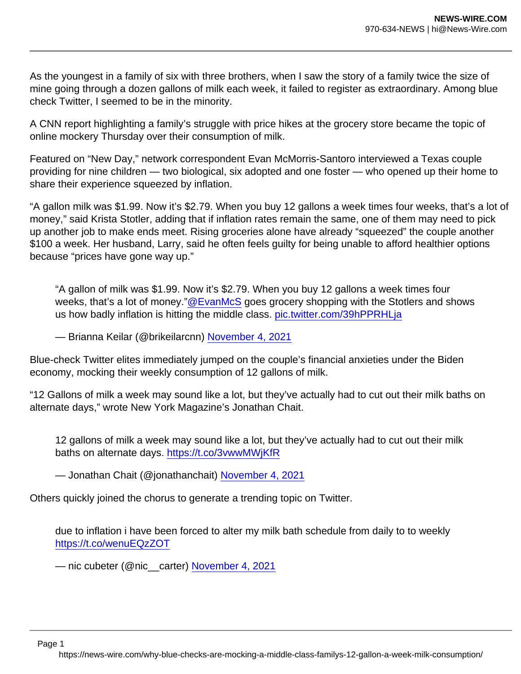As the youngest in a family of six with three brothers, when I saw the story of a family twice the size of mine going through a dozen gallons of milk each week, it failed to register as extraordinary. Among blue check Twitter, I seemed to be in the minority.

A CNN report highlighting a family's struggle with price hikes at the grocery store became the topic of online mockery Thursday over their consumption of milk.

Featured on "New Day," network correspondent Evan McMorris-Santoro interviewed a Texas couple providing for nine children — two biological, six adopted and one foster — who opened up their home to share their experience squeezed by inflation.

"A gallon milk was \$1.99. Now it's \$2.79. When you buy 12 gallons a week times four weeks, that's a lot of money," said Krista Stotler, adding that if inflation rates remain the same, one of them may need to pick up another job to make ends meet. Rising groceries alone have already "squeezed" the couple another \$100 a week. Her husband, Larry, said he often feels guilty for being unable to afford healthier options because "prices have gone way up."

"A gallon of milk was \$1.99. Now it's \$2.79. When you buy 12 gallons a week times four weeks, that's a lot of money.["@EvanMcS](https://twitter.com/EvanMcS?ref_src=twsrc^tfw) goes grocery shopping with the Stotlers and shows us how badly inflation is hitting the middle class. [pic.twitter.com/39hPPRHLja](https://t.co/39hPPRHLja)

— Brianna Keilar (@brikeilarcnn) [November 4, 2021](https://twitter.com/brikeilarcnn/status/1456227125346832384?ref_src=twsrc^tfw)

Blue-check Twitter elites immediately jumped on the couple's financial anxieties under the Biden economy, mocking their weekly consumption of 12 gallons of milk.

"12 Gallons of milk a week may sound like a lot, but they've actually had to cut out their milk baths on alternate days," wrote New York Magazine's Jonathan Chait.

12 gallons of milk a week may sound like a lot, but they've actually had to cut out their milk baths on alternate days.<https://t.co/3vwwMWjKfR>

— Jonathan Chait (@jonathanchait) [November 4, 2021](https://twitter.com/jonathanchait/status/1456247599682539522?ref_src=twsrc^tfw)

Others quickly joined the chorus to generate a trending topic on Twitter.

due to inflation i have been forced to alter my milk bath schedule from daily to to weekly <https://t.co/wenuEQzZOT>

— nic cubeter (@nic\_\_carter) [November 4, 2021](https://twitter.com/nic__carter/status/1456277745646768134?ref_src=twsrc^tfw)

Page 1

https://news-wire.com/why-blue-checks-are-mocking-a-middle-class-familys-12-gallon-a-week-milk-consumption/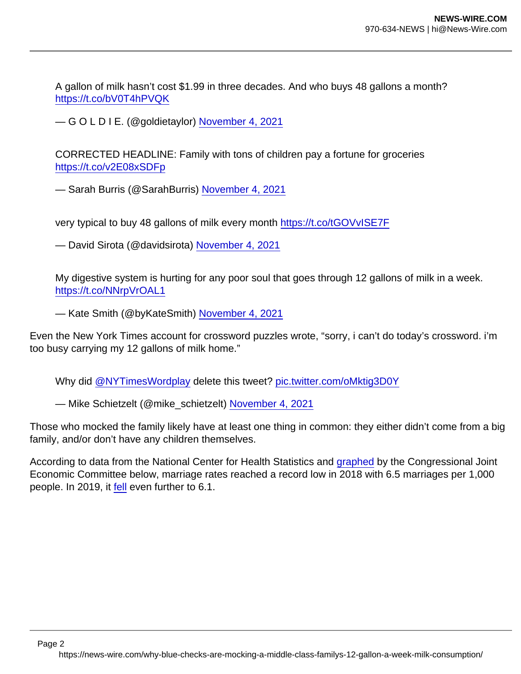A gallon of milk hasn't cost \$1.99 in three decades. And who buys 48 gallons a month? <https://t.co/bV0T4hPVQK>

— G O L D I E. (@goldietaylor) [November 4, 2021](https://twitter.com/goldietaylor/status/1456283325946122249?ref_src=twsrc^tfw)

CORRECTED HEADLINE: Family with tons of children pay a fortune for groceries <https://t.co/v2E08xSDFp>

— Sarah Burris (@SarahBurris) [November 4, 2021](https://twitter.com/SarahBurris/status/1456285121951289346?ref_src=twsrc^tfw)

very typical to buy 48 gallons of milk every month <https://t.co/tGOVvISE7F>

— David Sirota (@davidsirota) [November 4, 2021](https://twitter.com/davidsirota/status/1456252308941987847?ref_src=twsrc^tfw)

My digestive system is hurting for any poor soul that goes through 12 gallons of milk in a week. <https://t.co/NNrpVrOAL1>

— Kate Smith (@byKateSmith) [November 4, 2021](https://twitter.com/byKateSmith/status/1456257188897325071?ref_src=twsrc^tfw)

Even the New York Times account for crossword puzzles wrote, "sorry, i can't do today's crossword. i'm too busy carrying my 12 gallons of milk home."

Why did [@NYTimesWordplay](https://twitter.com/NYTimesWordplay?ref_src=twsrc^tfw) delete this tweet? [pic.twitter.com/oMktig3D0Y](https://t.co/oMktig3D0Y)

— Mike Schietzelt (@mike\_schietzelt) [November 4, 2021](https://twitter.com/mike_schietzelt/status/1456311025603645444?ref_src=twsrc^tfw)

Those who mocked the family likely have at least one thing in common: they either didn't come from a big family, and/or don't have any children themselves.

According to data from the National Center for Health Statistics and [graphed](https://www.jec.senate.gov/public/index.cfm/republicans/2020/4/marriage-rate-blog-test) by the Congressional Joint Economic Committee below, marriage rates reached a record low in 2018 with 6.5 marriages per 1,000 people. In 2019, it [fell](https://www.cdc.gov/nchs/fastats/marriage-divorce.htm) even further to 6.1.

Page 2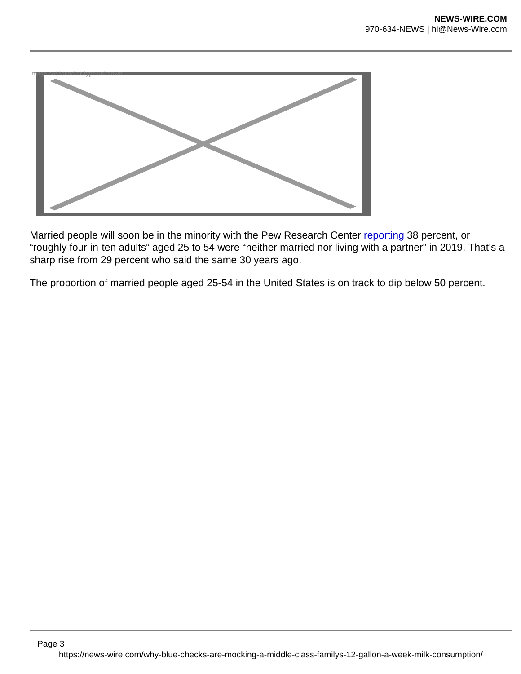

Married people will soon be in the minority with the Pew Research Center [reporting](https://www.pewresearch.org/social-trends/2021/10/05/rising-share-of-u-s-adults-are-living-without-a-spouse-or-partner/) 38 percent, or "roughly four-in-ten adults" aged 25 to 54 were "neither married nor living with a partner" in 2019. That's a sharp rise from 29 percent who said the same 30 years ago.

The proportion of married people aged 25-54 in the United States is on track to dip below 50 percent.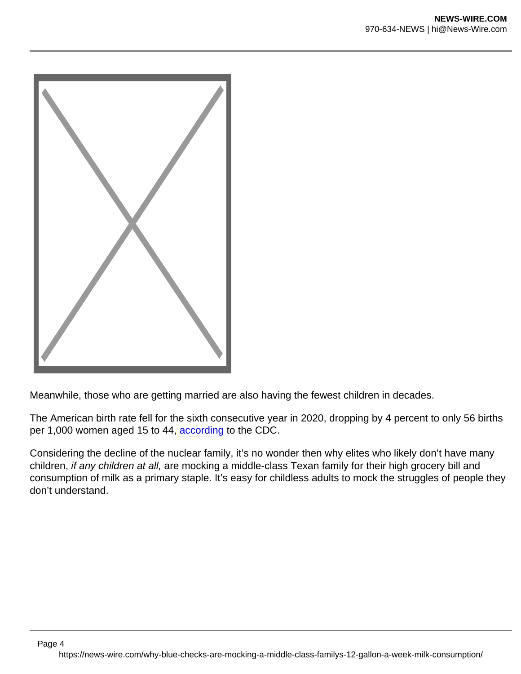

Page 4

Meanwhile, those who are getting married are also having the fewest children in decades.

The American birth rate fell for the sixth consecutive year in 2020, dropping by 4 percent to only 56 births per 1,000 women aged 15 to 44, [according](https://www.cdc.gov/nchs/products/databriefs/db418.htm) to the CDC.

Considering the decline of the nuclear family, it's no wonder then why elites who likely don't have many children, if any children at all, are mocking a middle-class Texan family for their high grocery bill and consumption of milk as a primary staple. It's easy for childless adults to mock the struggles of people they don't understand.